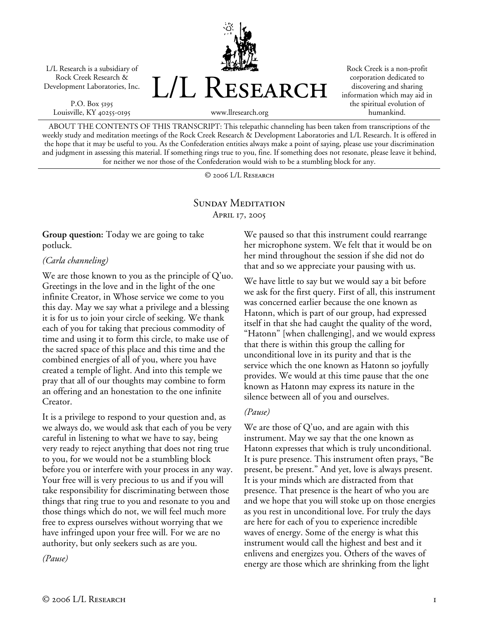L/L Research is a subsidiary of Rock Creek Research & Development Laboratories, Inc.

P.O. Box 5195 Louisville, KY 40255-0195



Rock Creek is a non-profit corporation dedicated to discovering and sharing information which may aid in the spiritual evolution of humankind.

www.llresearch.org

ABOUT THE CONTENTS OF THIS TRANSCRIPT: This telepathic channeling has been taken from transcriptions of the weekly study and meditation meetings of the Rock Creek Research & Development Laboratories and L/L Research. It is offered in the hope that it may be useful to you. As the Confederation entities always make a point of saying, please use your discrimination and judgment in assessing this material. If something rings true to you, fine. If something does not resonate, please leave it behind, for neither we nor those of the Confederation would wish to be a stumbling block for any.

© 2006 L/L Research

# SUNDAY MEDITATION April 17, 2005

**Group question:** Today we are going to take potluck.

### *(Carla channeling)*

We are those known to you as the principle of Q'uo. Greetings in the love and in the light of the one infinite Creator, in Whose service we come to you this day. May we say what a privilege and a blessing it is for us to join your circle of seeking. We thank each of you for taking that precious commodity of time and using it to form this circle, to make use of the sacred space of this place and this time and the combined energies of all of you, where you have created a temple of light. And into this temple we pray that all of our thoughts may combine to form an offering and an honestation to the one infinite Creator.

It is a privilege to respond to your question and, as we always do, we would ask that each of you be very careful in listening to what we have to say, being very ready to reject anything that does not ring true to you, for we would not be a stumbling block before you or interfere with your process in any way. Your free will is very precious to us and if you will take responsibility for discriminating between those things that ring true to you and resonate to you and those things which do not, we will feel much more free to express ourselves without worrying that we have infringed upon your free will. For we are no authority, but only seekers such as are you.

*(Pause)* 

We paused so that this instrument could rearrange her microphone system. We felt that it would be on her mind throughout the session if she did not do that and so we appreciate your pausing with us.

We have little to say but we would say a bit before we ask for the first query. First of all, this instrument was concerned earlier because the one known as Hatonn, which is part of our group, had expressed itself in that she had caught the quality of the word, "Hatonn" [when challenging], and we would express that there is within this group the calling for unconditional love in its purity and that is the service which the one known as Hatonn so joyfully provides. We would at this time pause that the one known as Hatonn may express its nature in the silence between all of you and ourselves.

## *(Pause)*

We are those of  $Q'$ uo, and are again with this instrument. May we say that the one known as Hatonn expresses that which is truly unconditional. It is pure presence. This instrument often prays, "Be present, be present." And yet, love is always present. It is your minds which are distracted from that presence. That presence is the heart of who you are and we hope that you will stoke up on those energies as you rest in unconditional love. For truly the days are here for each of you to experience incredible waves of energy. Some of the energy is what this instrument would call the highest and best and it enlivens and energizes you. Others of the waves of energy are those which are shrinking from the light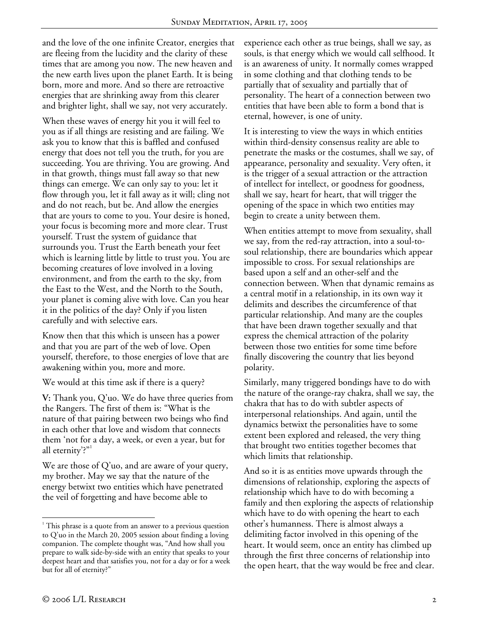and the love of the one infinite Creator, energies that are fleeing from the lucidity and the clarity of these times that are among you now. The new heaven and the new earth lives upon the planet Earth. It is being born, more and more. And so there are retroactive energies that are shrinking away from this clearer and brighter light, shall we say, not very accurately.

When these waves of energy hit you it will feel to you as if all things are resisting and are failing. We ask you to know that this is baffled and confused energy that does not tell you the truth, for you are succeeding. You are thriving. You are growing. And in that growth, things must fall away so that new things can emerge. We can only say to you: let it flow through you, let it fall away as it will; cling not and do not reach, but be. And allow the energies that are yours to come to you. Your desire is honed, your focus is becoming more and more clear. Trust yourself. Trust the system of guidance that surrounds you. Trust the Earth beneath your feet which is learning little by little to trust you. You are becoming creatures of love involved in a loving environment, and from the earth to the sky, from the East to the West, and the North to the South, your planet is coming alive with love. Can you hear it in the politics of the day? Only if you listen carefully and with selective ears.

Know then that this which is unseen has a power and that you are part of the web of love. Open yourself, therefore, to those energies of love that are awakening within you, more and more.

We would at this time ask if there is a query?

**V:** Thank you, Q'uo. We do have three queries from the Rangers. The first of them is: "What is the nature of that pairing between two beings who find in each other that love and wisdom that connects them 'not for a day, a week, or even a year, but for all eternity?"

We are those of Q'uo, and are aware of your query, my brother. May we say that the nature of the energy betwixt two entities which have penetrated the veil of forgetting and have become able to

experience each other as true beings, shall we say, as souls, is that energy which we would call selfhood. It is an awareness of unity. It normally comes wrapped in some clothing and that clothing tends to be partially that of sexuality and partially that of personality. The heart of a connection between two entities that have been able to form a bond that is eternal, however, is one of unity.

It is interesting to view the ways in which entities within third-density consensus reality are able to penetrate the masks or the costumes, shall we say, of appearance, personality and sexuality. Very often, it is the trigger of a sexual attraction or the attraction of intellect for intellect, or goodness for goodness, shall we say, heart for heart, that will trigger the opening of the space in which two entities may begin to create a unity between them.

When entities attempt to move from sexuality, shall we say, from the red-ray attraction, into a soul-tosoul relationship, there are boundaries which appear impossible to cross. For sexual relationships are based upon a self and an other-self and the connection between. When that dynamic remains as a central motif in a relationship, in its own way it delimits and describes the circumference of that particular relationship. And many are the couples that have been drawn together sexually and that express the chemical attraction of the polarity between those two entities for some time before finally discovering the country that lies beyond polarity.

Similarly, many triggered bondings have to do with the nature of the orange-ray chakra, shall we say, the chakra that has to do with subtler aspects of interpersonal relationships. And again, until the dynamics betwixt the personalities have to some extent been explored and released, the very thing that brought two entities together becomes that which limits that relationship.

And so it is as entities move upwards through the dimensions of relationship, exploring the aspects of relationship which have to do with becoming a family and then exploring the aspects of relationship which have to do with opening the heart to each other's humanness. There is almost always a delimiting factor involved in this opening of the heart. It would seem, once an entity has climbed up through the first three concerns of relationship into the open heart, that the way would be free and clear.

1

<sup>&</sup>lt;sup>1</sup> This phrase is a quote from an answer to a previous question to Q'uo in the March 20, 2005 session about finding a loving companion. The complete thought was, "And how shall you prepare to walk side-by-side with an entity that speaks to your deepest heart and that satisfies you, not for a day or for a week but for all of eternity?"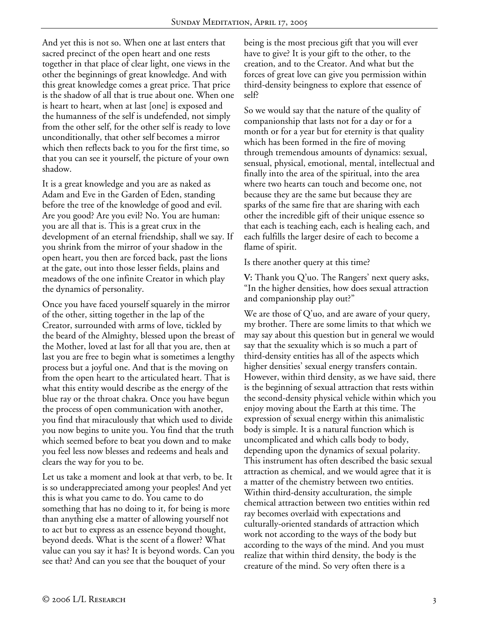And yet this is not so. When one at last enters that sacred precinct of the open heart and one rests together in that place of clear light, one views in the other the beginnings of great knowledge. And with this great knowledge comes a great price. That price is the shadow of all that is true about one. When one is heart to heart, when at last [one] is exposed and the humanness of the self is undefended, not simply from the other self, for the other self is ready to love unconditionally, that other self becomes a mirror which then reflects back to you for the first time, so that you can see it yourself, the picture of your own shadow.

It is a great knowledge and you are as naked as Adam and Eve in the Garden of Eden, standing before the tree of the knowledge of good and evil. Are you good? Are you evil? No. You are human: you are all that is. This is a great crux in the development of an eternal friendship, shall we say. If you shrink from the mirror of your shadow in the open heart, you then are forced back, past the lions at the gate, out into those lesser fields, plains and meadows of the one infinite Creator in which play the dynamics of personality.

Once you have faced yourself squarely in the mirror of the other, sitting together in the lap of the Creator, surrounded with arms of love, tickled by the beard of the Almighty, blessed upon the breast of the Mother, loved at last for all that you are, then at last you are free to begin what is sometimes a lengthy process but a joyful one. And that is the moving on from the open heart to the articulated heart. That is what this entity would describe as the energy of the blue ray or the throat chakra. Once you have begun the process of open communication with another, you find that miraculously that which used to divide you now begins to unite you. You find that the truth which seemed before to beat you down and to make you feel less now blesses and redeems and heals and clears the way for you to be.

Let us take a moment and look at that verb, to be. It is so underappreciated among your peoples! And yet this is what you came to do. You came to do something that has no doing to it, for being is more than anything else a matter of allowing yourself not to act but to express as an essence beyond thought, beyond deeds. What is the scent of a flower? What value can you say it has? It is beyond words. Can you see that? And can you see that the bouquet of your

being is the most precious gift that you will ever have to give? It is your gift to the other, to the creation, and to the Creator. And what but the forces of great love can give you permission within third-density beingness to explore that essence of self?

So we would say that the nature of the quality of companionship that lasts not for a day or for a month or for a year but for eternity is that quality which has been formed in the fire of moving through tremendous amounts of dynamics: sexual, sensual, physical, emotional, mental, intellectual and finally into the area of the spiritual, into the area where two hearts can touch and become one, not because they are the same but because they are sparks of the same fire that are sharing with each other the incredible gift of their unique essence so that each is teaching each, each is healing each, and each fulfills the larger desire of each to become a flame of spirit.

Is there another query at this time?

**V:** Thank you Q'uo. The Rangers' next query asks, "In the higher densities, how does sexual attraction and companionship play out?"

We are those of  $Q'$ uo, and are aware of your query, my brother. There are some limits to that which we may say about this question but in general we would say that the sexuality which is so much a part of third-density entities has all of the aspects which higher densities' sexual energy transfers contain. However, within third density, as we have said, there is the beginning of sexual attraction that rests within the second-density physical vehicle within which you enjoy moving about the Earth at this time. The expression of sexual energy within this animalistic body is simple. It is a natural function which is uncomplicated and which calls body to body, depending upon the dynamics of sexual polarity. This instrument has often described the basic sexual attraction as chemical, and we would agree that it is a matter of the chemistry between two entities. Within third-density acculturation, the simple chemical attraction between two entities within red ray becomes overlaid with expectations and culturally-oriented standards of attraction which work not according to the ways of the body but according to the ways of the mind. And you must realize that within third density, the body is the creature of the mind. So very often there is a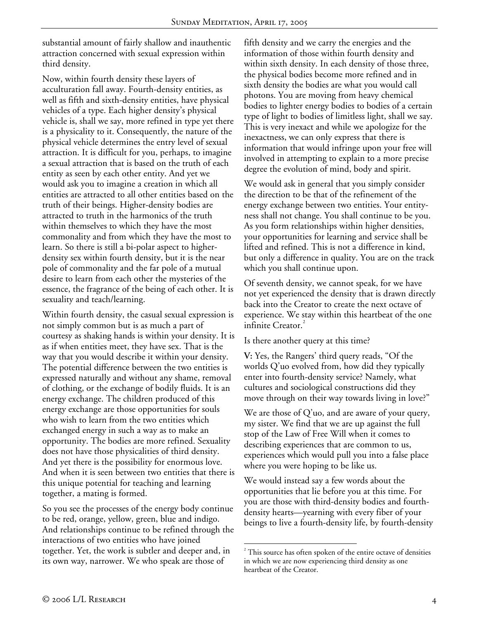substantial amount of fairly shallow and inauthentic attraction concerned with sexual expression within third density.

Now, within fourth density these layers of acculturation fall away. Fourth-density entities, as well as fifth and sixth-density entities, have physical vehicles of a type. Each higher density's physical vehicle is, shall we say, more refined in type yet there is a physicality to it. Consequently, the nature of the physical vehicle determines the entry level of sexual attraction. It is difficult for you, perhaps, to imagine a sexual attraction that is based on the truth of each entity as seen by each other entity. And yet we would ask you to imagine a creation in which all entities are attracted to all other entities based on the truth of their beings. Higher-density bodies are attracted to truth in the harmonics of the truth within themselves to which they have the most commonality and from which they have the most to learn. So there is still a bi-polar aspect to higherdensity sex within fourth density, but it is the near pole of commonality and the far pole of a mutual desire to learn from each other the mysteries of the essence, the fragrance of the being of each other. It is sexuality and teach/learning.

Within fourth density, the casual sexual expression is not simply common but is as much a part of courtesy as shaking hands is within your density. It is as if when entities meet, they have sex. That is the way that you would describe it within your density. The potential difference between the two entities is expressed naturally and without any shame, removal of clothing, or the exchange of bodily fluids. It is an energy exchange. The children produced of this energy exchange are those opportunities for souls who wish to learn from the two entities which exchanged energy in such a way as to make an opportunity. The bodies are more refined. Sexuality does not have those physicalities of third density. And yet there is the possibility for enormous love. And when it is seen between two entities that there is this unique potential for teaching and learning together, a mating is formed.

So you see the processes of the energy body continue to be red, orange, yellow, green, blue and indigo. And relationships continue to be refined through the interactions of two entities who have joined together. Yet, the work is subtler and deeper and, in its own way, narrower. We who speak are those of

fifth density and we carry the energies and the information of those within fourth density and within sixth density. In each density of those three, the physical bodies become more refined and in sixth density the bodies are what you would call photons. You are moving from heavy chemical bodies to lighter energy bodies to bodies of a certain type of light to bodies of limitless light, shall we say. This is very inexact and while we apologize for the inexactness, we can only express that there is information that would infringe upon your free will involved in attempting to explain to a more precise degree the evolution of mind, body and spirit.

We would ask in general that you simply consider the direction to be that of the refinement of the energy exchange between two entities. Your entityness shall not change. You shall continue to be you. As you form relationships within higher densities, your opportunities for learning and service shall be lifted and refined. This is not a difference in kind, but only a difference in quality. You are on the track which you shall continue upon.

Of seventh density, we cannot speak, for we have not yet experienced the density that is drawn directly back into the Creator to create the next octave of experience. We stay within this heartbeat of the one infinite Creator.<sup>2</sup>

Is there another query at this time?

**V:** Yes, the Rangers' third query reads, "Of the worlds Q'uo evolved from, how did they typically enter into fourth-density service? Namely, what cultures and sociological constructions did they move through on their way towards living in love?"

We are those of Q'uo, and are aware of your query, my sister. We find that we are up against the full stop of the Law of Free Will when it comes to describing experiences that are common to us, experiences which would pull you into a false place where you were hoping to be like us.

We would instead say a few words about the opportunities that lie before you at this time. For you are those with third-density bodies and fourthdensity hearts—yearning with every fiber of your beings to live a fourth-density life, by fourth-density

 $\overline{a}$ <sup>2</sup> This source has often spoken of the entire octave of densities in which we are now experiencing third density as one heartbeat of the Creator.